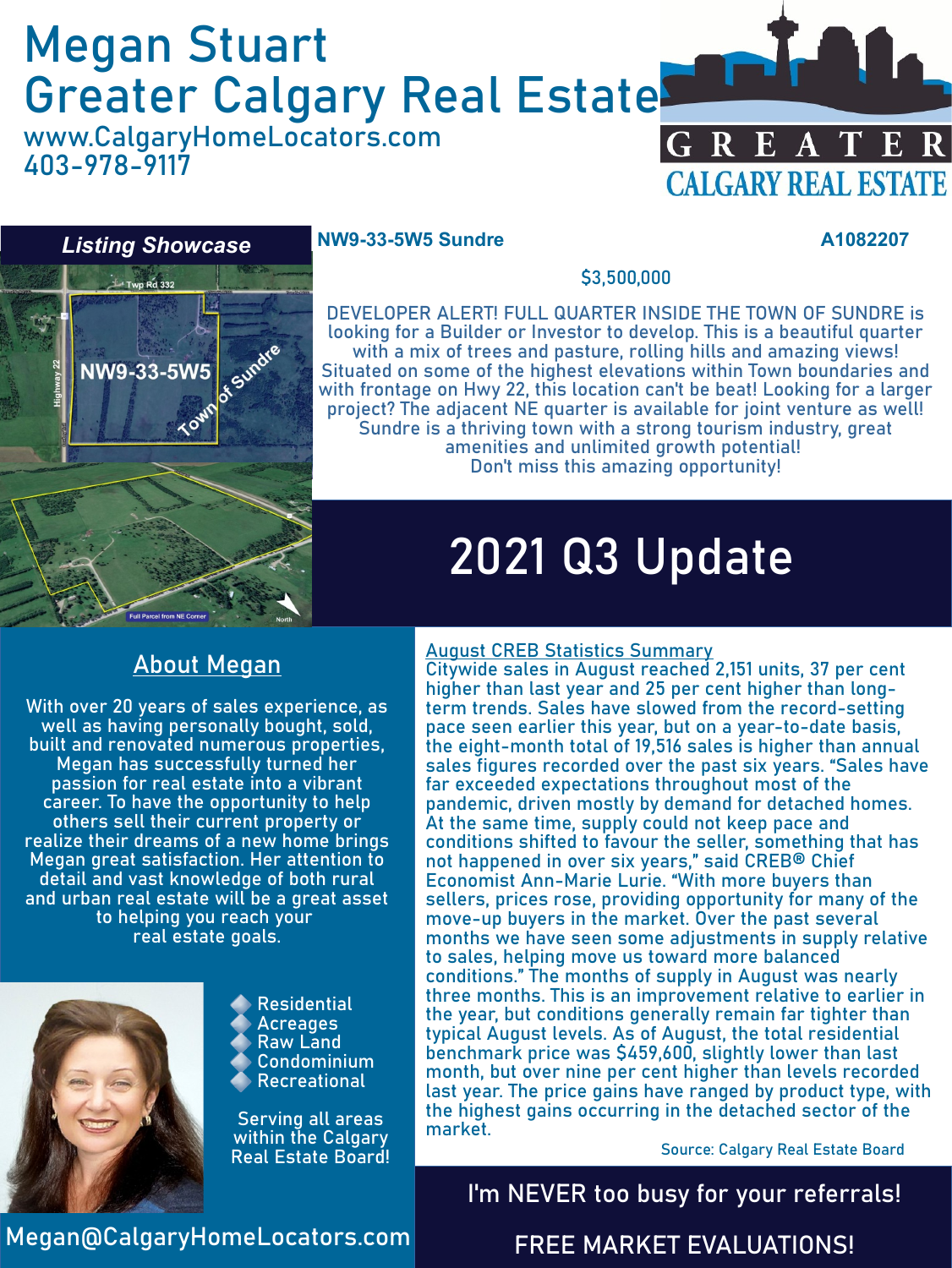# Megan Stuart Greater Calgary Real Estate

www.CalgaryHomeLocators.com 403-978-9117





#### **NW9-33-5W5 Sundre A1082207**

\$3,500,000

DEVELOPER ALERT! FULL QUARTER INSIDE THE TOWN OF SUNDRE is looking for a Builder or Investor to develop. This is a beautiful quarter with a mix of trees and pasture, rolling hills and amazing views! Situated on some of the highest elevations within Town boundaries and with frontage on Hwy 22, this location can't be beat! Looking for a larger project? The adjacent NE quarter is available for joint venture as well! Sundre is a thriving town with a strong tourism industry, great amenities and unlimited growth potential! Don't miss this amazing opportunity!

# 2021 Q3 Update

### About Megan

With over 20 years of sales experience, as well as having personally bought, sold, built and renovated numerous properties, Megan has successfully turned her passion for real estate into a vibrant career. To have the opportunity to help others sell their current property or realize their dreams of a new home brings Megan great satisfaction. Her attention to detail and vast knowledge of both rural and urban real estate will be a great asset to helping you reach your real estate goals.



Residential **Acreages** Raw Land Condominium **Recreational** 

Serving all areas within the Calgary Real Estate Board!

#### August CREB Statistics Summary

Citywide sales in August reached 2,151 units, 37 per cent higher than last year and 25 per cent higher than longterm trends. Sales have slowed from the record-setting pace seen earlier this year, but on a year-to-date basis, the eight-month total of 19,516 sales is higher than annual sales figures recorded over the past six years. "Sales have far exceeded expectations throughout most of the pandemic, driven mostly by demand for detached homes. At the same time, supply could not keep pace and conditions shifted to favour the seller, something that has not happened in over six years," said CREB® Chief Economist Ann-Marie Lurie. "With more buyers than sellers, prices rose, providing opportunity for many of the move-up buyers in the market. Over the past several months we have seen some adjustments in supply relative to sales, helping move us toward more balanced conditions." The months of supply in August was nearly three months. This is an improvement relative to earlier in the year, but conditions generally remain far tighter than typical August levels. As of August, the total residential benchmark price was \$459,600, slightly lower than last month, but over nine per cent higher than levels recorded last year. The price gains have ranged by product type, with the highest gains occurring in the detached sector of the market.

Source: Calgary Real Estate Board

### I'm NEVER too busy for your referrals!

Megan@CalgaryHomeLocators.com

#### FREE MARKET EVALUATIONS!